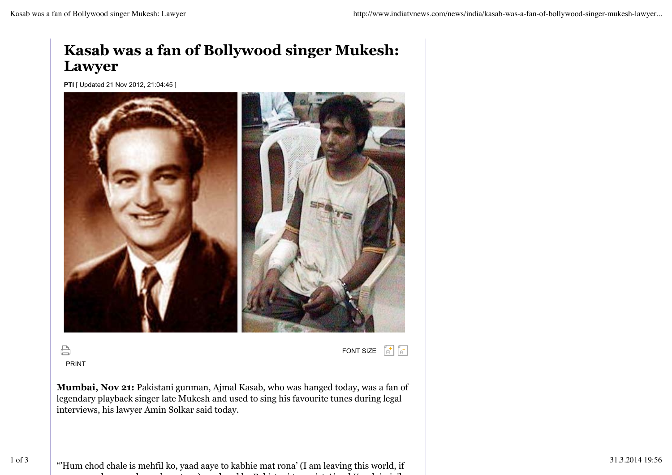## **Kasab was a fan of Bollywood singer Mukesh: Lawyer**

**PTI** [ Updated 21 Nov 2012, 21:04:45 ]



 $\bigoplus$ PRINT FONT SIZE  $\begin{bmatrix} 1 \\ 0 \end{bmatrix} \begin{bmatrix} 1 \\ 0 \end{bmatrix}$ 

**Mumbai, Nov 21:** Pakistani gunman, Ajmal Kasab, who was hanged today, was a fan of legendary playback singer late Mukesh and used to sing his favourite tunes during legal interviews, his lawyer Amin Solkar said today.

1 of 3  $\blacksquare$  "Hum chod chale is mehfil ko, yaad aaye to kabhie mat rona' (I am leaving this world, if  $\blacksquare$  31.3.2014 19:56 you remember me please do not cry) rendered by Pakistani terrorist Ajmal Kasab in jail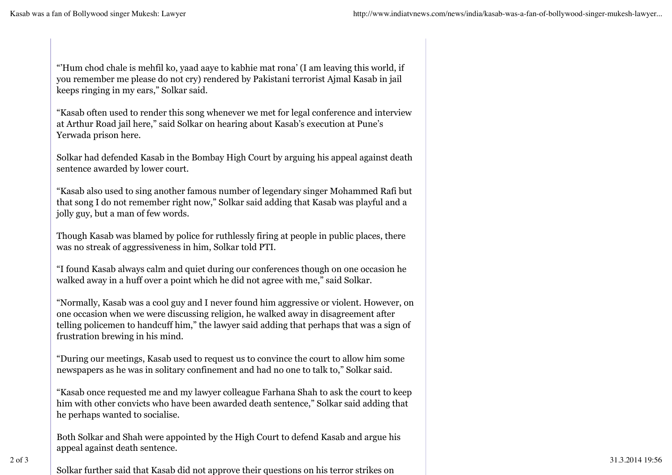"'Hum chod chale is mehfil ko, yaad aaye to kabhie mat rona' (I am leaving this world, if you remember me please do not cry) rendered by Pakistani terrorist Ajmal Kasab in jail keeps ringing in my ears," Solkar said.

"Kasab often used to render this song whenever we met for legal conference and interview at Arthur Road jail here," said Solkar on hearing about Kasab's execution at Pune's Yerwada prison here.

Solkar had defended Kasab in the Bombay High Court by arguing his appeal against death sentence awarded by lower court.

"Kasab also used to sing another famous number of legendary singer Mohammed Rafi but that song I do not remember right now," Solkar said adding that Kasab was playful and a jolly guy, but a man of few words.

Though Kasab was blamed by police for ruthlessly firing at people in public places, there was no streak of aggressiveness in him, Solkar told PTI.

"I found Kasab always calm and quiet during our conferences though on one occasion he walked away in a huff over a point which he did not agree with me," said Solkar.

"Normally, Kasab was a cool guy and I never found him aggressive or violent. However, on one occasion when we were discussing religion, he walked away in disagreement after telling policemen to handcuff him," the lawyer said adding that perhaps that was a sign of frustration brewing in his mind.

"During our meetings, Kasab used to request us to convince the court to allow him some newspapers as he was in solitary confinement and had no one to talk to," Solkar said.

"Kasab once requested me and my lawyer colleague Farhana Shah to ask the court to keep him with other convicts who have been awarded death sentence," Solkar said adding that he perhaps wanted to socialise.

Both Solkar and Shah were appointed by the High Court to defend Kasab and argue his appeal against death sentence.

Solkar further said that Kasab did not approve their questions on his terror strikes on